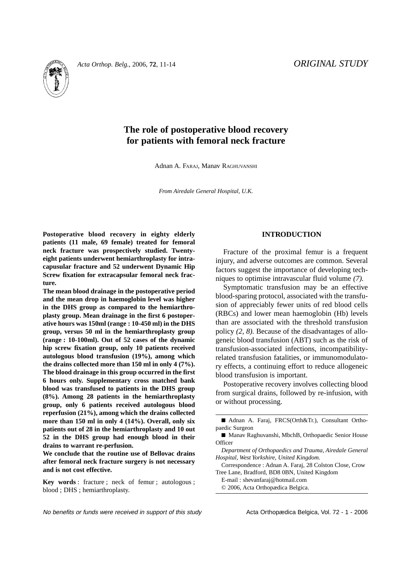

# **The role of postoperative blood recovery for patients with femoral neck fracture**

Adnan A. FARAJ, Manav RAGHUVANSHI

*From Airedale General Hospital, U.K.*

**Postoperative blood recovery in eighty elderly patients (11 male, 69 female) treated for femoral neck fracture was prospectively studied. Twentyeight patients underwent hemiarthroplasty for intracapusular fracture and 52 underwent Dynamic Hip Screw fixation for extracapsular femoral neck fracture.** 

**The mean blood drainage in the postoperative period and the mean drop in haemoglobin level was higher in the DHS group as compared to the hemiarthroplasty group. Mean drainage in the first 6 postoperative hours was 150ml (range : 10-450 ml) in the DHS group, versus 50 ml in the hemiarthroplasty group (range : 10-100ml). Out of 52 cases of the dynamic hip screw fixation group, only 10 patients received autologous blood transfusion (19%), among which the drains collected more than 150 ml in only 4 (7%). The blood drainage in this group occurred in the first 6 hours only. Supplementary cross matched bank blood was transfused to patients in the DHS group (8%). Among 28 patients in the hemiarthroplasty group, only 6 patients received autologous blood reperfusion (21%), among which the drains collected more than 150 ml in only 4 (14%). Overall, only six patients out of 28 in the hemiarthroplasty and 10 out 52 in the DHS group had enough blood in their drains to warrant re-perfusion.**

**We conclude that the routine use of Bellovac drains after femoral neck fracture surgery is not necessary and is not cost effective.**

**Key words** : fracture ; neck of femur ; autologous ; blood ; DHS ; hemiarthroplasty.

## **INTRODUCTION**

Fracture of the proximal femur is a frequent injury, and adverse outcomes are common. Several factors suggest the importance of developing techniques to optimise intravascular fluid volume *(7).*

Symptomatic transfusion may be an effective blood-sparing protocol, associated with the transfusion of appreciably fewer units of red blood cells (RBCs) and lower mean haemoglobin (Hb) levels than are associated with the threshold transfusion policy *(2, 8).* Because of the disadvantages of allogeneic blood transfusion (ABT) such as the risk of transfusion-associated infections, incompatibilityrelated transfusion fatalities, or immunomodulatory effects, a continuing effort to reduce allogeneic blood transfusion is important.

Postoperative recovery involves collecting blood from surgical drains, followed by re-infusion, with or without processing.

■ Adnan A. Faraj, FRCS(Orth&Tr.), Consultant Orthopaedic Surgeon

© 2006, Acta Orthopædica Belgica.

<sup>■</sup> Manav Raghuvanshi, MbchB, Orthopaedic Senior House **Officer** 

*Department of Orthopaedics and Trauma, Airedale General Hospital, West Yorkshire, United Kingdom.*

Correspondence : Adnan A. Faraj, 28 Colston Close, Crow Tree Lane, Bradford, BD8 0BN, United Kingdom

E-mail : shevanfaraj@hotmail.com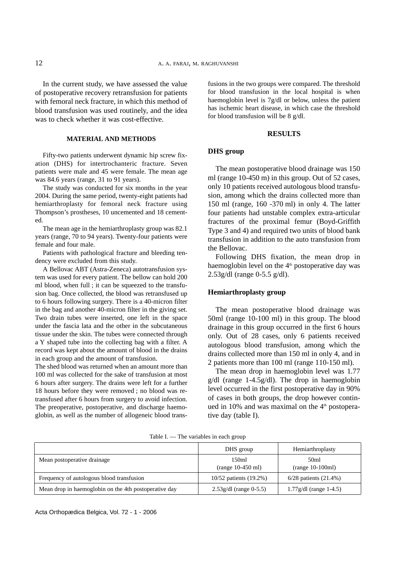In the current study, we have assessed the value of postoperative recovery retransfusion for patients with femoral neck fracture, in which this method of blood transfusion was used routinely, and the idea was to check whether it was cost-effective.

## **MATERIAL AND METHODS**

Fifty-two patients underwent dynamic hip screw fixation (DHS) for intertrochanteric fracture. Seven patients were male and 45 were female. The mean age was 84.6 years (range, 31 to 91 years).

The study was conducted for six months in the year 2004. During the same period, twenty-eight patients had hemiarthroplasty for femoral neck fracture using Thompson's prostheses, 10 uncemented and 18 cemented.

The mean age in the hemiarthroplasty group was 82.1 years (range, 70 to 94 years). Twenty-four patients were female and four male.

Patients with pathological fracture and bleeding tendency were excluded from this study.

A Bellovac ABT (Astra-Zeneca) autotransfusion system was used for every patient. The bellow can hold 200 ml blood, when full ; it can be squeezed to the transfusion bag. Once collected, the blood was retransfused up to 6 hours following surgery. There is a 40-micron filter in the bag and another 40-micron filter in the giving set. Two drain tubes were inserted, one left in the space under the fascia lata and the other in the subcutaneous tissue under the skin. The tubes were connected through a Y shaped tube into the collecting bag with a filter. A record was kept about the amount of blood in the drains in each group and the amount of transfusion.

The shed blood was returned when an amount more than 100 ml was collected for the sake of transfusion at most 6 hours after surgery. The drains were left for a further 18 hours before they were removed ; no blood was retransfused after 6 hours from surgery to avoid infection. The preoperative, postoperative, and discharge haemoglobin, as well as the number of allogeneic blood trans-

fusions in the two groups were compared. The threshold for blood transfusion in the local hospital is when haemoglobin level is 7g/dl or below, unless the patient has ischemic heart disease, in which case the threshold for blood transfusion will be 8 g/dl.

#### **RESULTS**

#### **DHS group**

The mean postoperative blood drainage was 150 ml (range 10-450 m) in this group. Out of 52 cases, only 10 patients received autologous blood transfusion, among which the drains collected more than 150 ml (range, 160 -370 ml) in only 4. The latter four patients had unstable complex extra-articular fractures of the proximal femur (Boyd-Griffith Type 3 and 4) and required two units of blood bank transfusion in addition to the auto transfusion from the Bellovac.

Following DHS fixation, the mean drop in haemoglobin level on the 4<sup>th</sup> postoperative day was 2.53g/dl (range 0-5.5 g/dl).

## **Hemiarthroplasty group**

The mean postoperative blood drainage was 50ml (range 10-100 ml) in this group. The blood drainage in this group occurred in the first 6 hours only. Out of 28 cases, only 6 patients received autologous blood transfusion, among which the drains collected more than 150 ml in only 4, and in 2 patients more than 100 ml (range 110-150 ml).

The mean drop in haemoglobin level was 1.77 g/dl (range 1-4.5g/dl). The drop in haemoglobin level occurred in the first postoperative day in 90% of cases in both groups, the drop however continued in 10% and was maximal on the  $4<sup>th</sup>$  postoperative day (table I).

|                                                       | DHS group                    | Hemiarthroplasty           |
|-------------------------------------------------------|------------------------------|----------------------------|
| Mean postoperative drainage                           | 150ml<br>$(range 10-450 ml)$ | 50ml<br>$(range 10-100ml)$ |
| Frequency of autologous blood transfusion             | 10/52 patients (19.2%)       | $6/28$ patients $(21.4\%)$ |
| Mean drop in haemoglobin on the 4th postoperative day | $2.53g/dl$ (range 0-5.5)     | $1.77$ g/dl (range 1-4.5)  |

Table I. — The variables in each group

Acta Orthopædica Belgica, Vol. 72 - 1 - 2006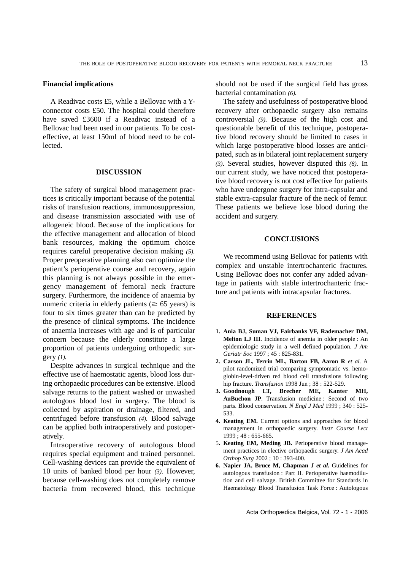### **Financial implications**

A Readivac costs £5, while a Bellovac with a Yconnector costs £50. The hospital could therefore have saved £3600 if a Readivac instead of a Bellovac had been used in our patients. To be costeffective, at least 150ml of blood need to be col**lected** 

#### **DISCUSSION**

The safety of surgical blood management practices is critically important because of the potential risks of transfusion reactions, immunosuppression, and disease transmission associated with use of allogeneic blood. Because of the implications for the effective management and allocation of blood bank resources, making the optimum choice requires careful preoperative decision making *(5).* Proper preoperative planning also can optimize the patient's perioperative course and recovery, again this planning is not always possible in the emergency management of femoral neck fracture surgery. Furthermore, the incidence of anaemia by numeric criteria in elderly patients ( $\geq 65$  years) is four to six times greater than can be predicted by the presence of clinical symptoms. The incidence of anaemia increases with age and is of particular concern because the elderly constitute a large proportion of patients undergoing orthopedic surgery *(1).*

Despite advances in surgical technique and the effective use of haemostatic agents, blood loss during orthopaedic procedures can be extensive. Blood salvage returns to the patient washed or unwashed autologous blood lost in surgery. The blood is collected by aspiration or drainage, filtered, and centrifuged before transfusion *(4).* Blood salvage can be applied both intraoperatively and postoperatively.

Intraoperative recovery of autologous blood requires special equipment and trained personnel. Cell-washing devices can provide the equivalent of 10 units of banked blood per hour *(3).* However, because cell-washing does not completely remove bacteria from recovered blood, this technique should not be used if the surgical field has gross bacterial contamination *(6).*

The safety and usefulness of postoperative blood recovery after orthopaedic surgery also remains controversial *(9).* Because of the high cost and questionable benefit of this technique, postoperative blood recovery should be limited to cases in which large postoperative blood losses are anticipated, such as in bilateral joint replacement surgery *(3).* Several studies, however disputed this *(8).* In our current study, we have noticed that postoperative blood recovery is not cost effective for patients who have undergone surgery for intra-capsular and stable extra-capsular fracture of the neck of femur. These patients we believe lose blood during the accident and surgery.

#### **CONCLUSIONS**

We recommend using Bellovac for patients with complex and unstable intertrochanteric fractures. Using Bellovac does not confer any added advantage in patients with stable intertrochanteric fracture and patients with intracapsular fractures.

## **REFERENCES**

- **1. Ania BJ, Suman VJ, Fairbanks VF, Rademacher DM, Melton LJ III**. Incidence of anemia in older people : An epidemiologic study in a well defined population. *J Am Geriatr Soc* 1997 ; 45 : 825-831.
- **2. Carson JL, Terrin ML, Barton FB, Aaron R** *et al.* A pilot randomized trial comparing symptomatic vs. hemoglobin-level-driven red blood cell transfusions following hip fracture. *Transfusion* 1998 Jun ; 38 : 522-529.
- **3. Goodnough LT, Brecher ME, Kanter MH, AuBuchon JP**. Transfusion medicine : Second of two parts. Blood conservation. *N Engl J Med* 1999 ; 340 : 525- 533.
- **4. Keating EM.** Current options and approaches for blood management in orthopaedic surgery. *Instr Course Lect* 1999 ; 48 : 655-665.
- 5**. Keating EM, Meding JB.** Perioperative blood management practices in elective orthopaedic surgery. *J Am Acad Orthop Surg* 2002 ; 10 : 393-400.
- **6. Napier JA, Bruce M, Chapman J** *et al.* Guidelines for autologous transfusion : Part II. Perioperative haemodilution and cell salvage. British Committee for Standards in Haematology Blood Transfusion Task Force : Autologous